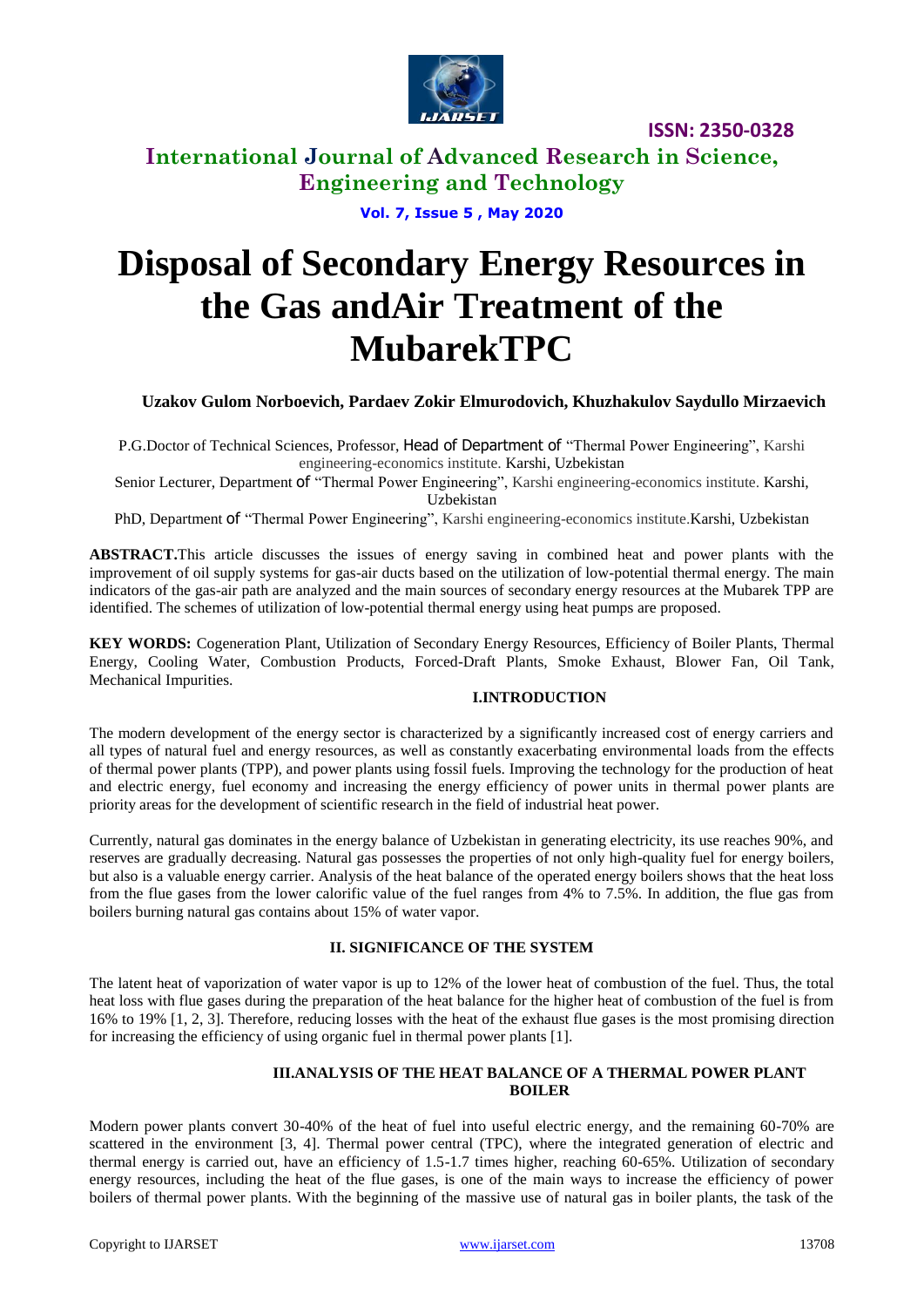

**International Journal of Advanced Research in Science, Engineering and Technology**

**Vol. 7, Issue 5 , May 2020**

# **Disposal of Secondary Energy Resources in the Gas andAir Treatment of the MubarekTРC**

# **Uzakov Gulom Norboevich, Pardaev Zokir Elmurodovich, Khuzhakulov Saydullo Mirzaevich**

P.G.Doctor of Technical Sciences, Professor, Head of Department of "Thermal Power Engineering", Karshi engineering-economics institute. Karshi, Uzbekistan

Senior Lecturer, Department of "Thermal Power Engineering", Karshi engineering-economics institute. Karshi, Uzbekistan

PhD, Department of "Thermal Power Engineering", Karshi engineering-economics institute.Karshi, Uzbekistan

**ABSTRACT.**This article discusses the issues of energy saving in combined heat and power plants with the improvement of oil supply systems for gas-air ducts based on the utilization of low-potential thermal energy. The main indicators of the gas-air path are analyzed and the main sources of secondary energy resources at the Mubarek TPP are identified. The schemes of utilization of low-potential thermal energy using heat pumps are proposed.

**KEY WORDS:** Cogeneration Plant, Utilization of Secondary Energy Resources, Efficiency of Boiler Plants, Thermal Energy, Cooling Water, Combustion Products, Forced-Draft Plants, Smoke Exhaust, Blower Fan, Oil Tank, Mechanical Impurities.

#### **I.INTRODUCTION**

The modern development of the energy sector is characterized by a significantly increased cost of energy carriers and all types of natural fuel and energy resources, as well as constantly exacerbating environmental loads from the effects of thermal power plants (TPP), and power plants using fossil fuels. Improving the technology for the production of heat and electric energy, fuel economy and increasing the energy efficiency of power units in thermal power plants are priority areas for the development of scientific research in the field of industrial heat power.

Currently, natural gas dominates in the energy balance of Uzbekistan in generating electricity, its use reaches 90%, and reserves are gradually decreasing. Natural gas possesses the properties of not only high-quality fuel for energy boilers, but also is a valuable energy carrier. Analysis of the heat balance of the operated energy boilers shows that the heat loss from the flue gases from the lower calorific value of the fuel ranges from 4% to 7.5%. In addition, the flue gas from boilers burning natural gas contains about 15% of water vapor.

## **II. SIGNIFICANCE OF THE SYSTEM**

The latent heat of vaporization of water vapor is up to 12% of the lower heat of combustion of the fuel. Thus, the total heat loss with flue gases during the preparation of the heat balance for the higher heat of combustion of the fuel is from 16% to 19% [1, 2, 3]. Therefore, reducing losses with the heat of the exhaust flue gases is the most promising direction for increasing the efficiency of using organic fuel in thermal power plants [1].

## **III.ANALYSIS OF THE HEAT BALANCE OF A THERMAL POWER PLANT BOILER**

Modern power plants convert 30-40% of the heat of fuel into useful electric energy, and the remaining 60-70% are scattered in the environment [3, 4]. Thermal power central (TPC), where the integrated generation of electric and thermal energy is carried out, have an efficiency of 1.5-1.7 times higher, reaching 60-65%. Utilization of secondary energy resources, including the heat of the flue gases, is one of the main ways to increase the efficiency of power boilers of thermal power plants. With the beginning of the massive use of natural gas in boiler plants, the task of the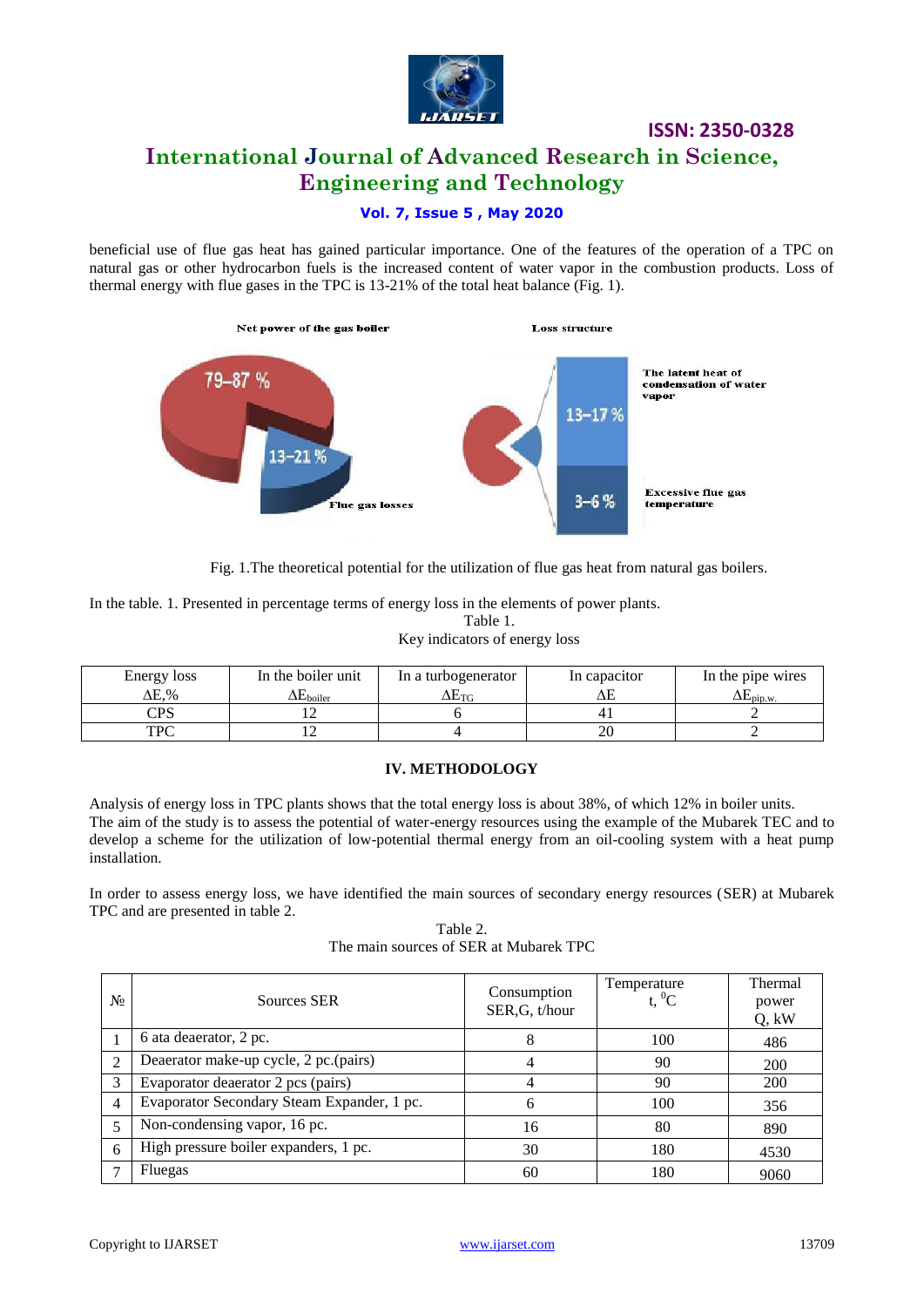

# **International Journal of Advanced Research in Science, Engineering and Technology**

# **Vol. 7, Issue 5 , May 2020**

beneficial use of flue gas heat has gained particular importance. One of the features of the operation of a TPC on natural gas or other hydrocarbon fuels is the increased content of water vapor in the combustion products. Loss of thermal energy with flue gases in the TPC is 13-21% of the total heat balance (Fig. 1).



Fig. 1.The theoretical potential for the utilization of flue gas heat from natural gas boilers.

In the table. 1. Presented in percentage terms of energy loss in the elements of power plants. Table 1.

| rabit i.                      |  |  |
|-------------------------------|--|--|
| Key indicators of energy loss |  |  |

| Energy loss | In the boiler unit           | In a turbogenerator | In capacitor | In the pipe wires          |
|-------------|------------------------------|---------------------|--------------|----------------------------|
| ΔE.%        | $\mathbf{L}_{\text{boiler}}$ | $\Delta E_{\rm TC}$ |              | $\Delta E_{\text{pip.w.}}$ |
| CPS         |                              |                     |              |                            |
| TPC         |                              |                     | ΖU           |                            |

#### **IV. METHODOLOGY**

Analysis of energy loss in TPC plants shows that the total energy loss is about 38%, of which 12% in boiler units. The aim of the study is to assess the potential of water-energy resources using the example of the Mubarek TEC and to develop a scheme for the utilization of low-potential thermal energy from an oil-cooling system with a heat pump installation.

In order to assess energy loss, we have identified the main sources of secondary energy resources (SER) at Mubarek TPC and are presented in table 2.

Table 2. The main sources of SER at Mubarek TPC

| $N_2$          | Sources SER                                | Consumption<br>SER, G, t/hour | Temperature<br>t. $^{0}C$ | Thermal<br>power<br>Q, kW |
|----------------|--------------------------------------------|-------------------------------|---------------------------|---------------------------|
|                | 6 ata deaerator, 2 pc.                     | 8                             | 100                       | 486                       |
| $\mathfrak{D}$ | Deaerator make-up cycle, 2 pc.(pairs)      | 4                             | 90                        | <b>200</b>                |
| 3              | Evaporator deaerator 2 pcs (pairs)         | 4                             | 90                        | 200                       |
| $\overline{4}$ | Evaporator Secondary Steam Expander, 1 pc. | 6                             | 100                       | 356                       |
|                | Non-condensing vapor, 16 pc.               | 16                            | 80                        | 890                       |
| 6              | High pressure boiler expanders, 1 pc.      | 30                            | 180                       | 4530                      |
|                | Fluegas                                    | 60                            | 180                       | 9060                      |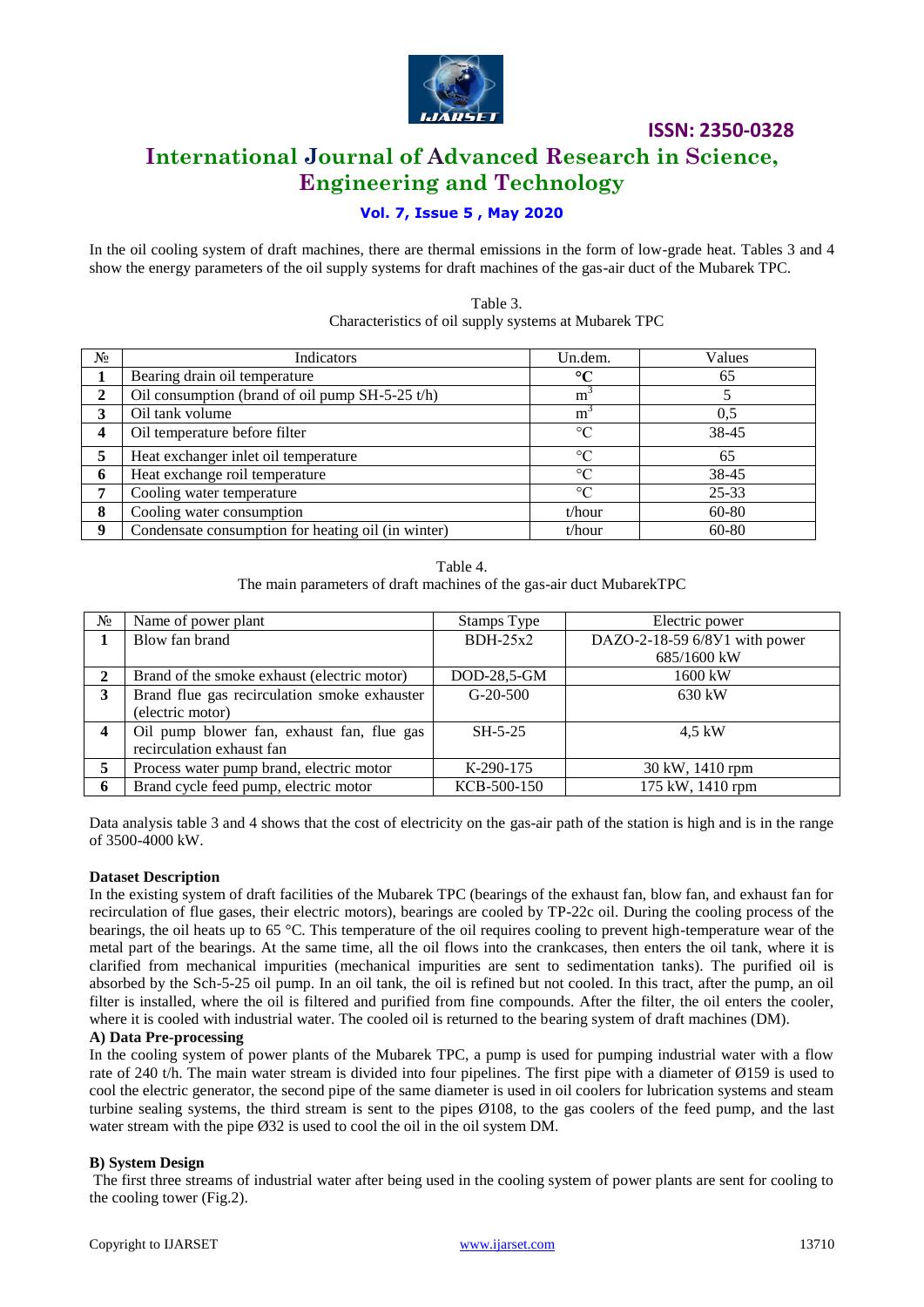

**International Journal of Advanced Research in Science, Engineering and Technology**

# **Vol. 7, Issue 5 , May 2020**

In the oil cooling system of draft machines, there are thermal emissions in the form of low-grade heat. Tables 3 and 4 show the energy parameters of the oil supply systems for draft machines of the gas-air duct of the Mubarek TPC.

> Table 3. Characteristics of oil supply systems at Mubarek TPC

| N <sub>2</sub>   | Indicators                                         | Un.dem.         | Values    |
|------------------|----------------------------------------------------|-----------------|-----------|
|                  | Bearing drain oil temperature                      | $\rm ^{\circ}C$ | 65        |
| ↑                | Oil consumption (brand of oil pump $SH-5-25 t/h$ ) | m               |           |
| 3                | Oil tank volume                                    | m <sup>-</sup>  | 0.5       |
|                  | Oil temperature before filter                      | $\rm ^{\circ}C$ | 38-45     |
|                  | Heat exchanger inlet oil temperature               | $\rm ^{\circ}C$ | 65        |
| 6                | Heat exchange roil temperature                     | $\rm ^{\circ}C$ | 38-45     |
|                  | Cooling water temperature                          | $\rm ^{\circ}C$ | $25 - 33$ |
| 8                | Cooling water consumption                          | t/hour          | 60-80     |
| $\mathbf \Omega$ | Condensate consumption for heating oil (in winter) | t/hour          | 60-80     |

Table 4.

The main parameters of draft machines of the gas-air duct MubarekTPC

| $N_2$ | Name of power plant                          | Stamps Type | Electric power                |
|-------|----------------------------------------------|-------------|-------------------------------|
|       | Blow fan brand                               | $BDH-25x2$  | DAZO-2-18-59 6/8У1 with power |
|       |                                              |             | 685/1600 kW                   |
| 2     | Brand of the smoke exhaust (electric motor)  | DOD-28,5-GM | 1600 kW                       |
| 3     | Brand flue gas recirculation smoke exhauster | $G-20-500$  | $630 \text{ kW}$              |
|       | (electric motor)                             |             |                               |
| 4     | Oil pump blower fan, exhaust fan, flue gas   | $SH-5-25$   | 4.5 kW                        |
|       | recirculation exhaust fan                    |             |                               |
|       | Process water pump brand, electric motor     | K-290-175   | 30 kW, 1410 rpm               |
| 6     | Brand cycle feed pump, electric motor        | KCB-500-150 | 175 kW, 1410 rpm              |

Data analysis table 3 and 4 shows that the cost of electricity on the gas-air path of the station is high and is in the range of 3500-4000 kW.

#### **Dataset Description**

In the existing system of draft facilities of the Mubarek TPC (bearings of the exhaust fan, blow fan, and exhaust fan for recirculation of flue gases, their electric motors), bearings are cooled by TP-22c oil. During the cooling process of the bearings, the oil heats up to 65 °C. This temperature of the oil requires cooling to prevent high-temperature wear of the metal part of the bearings. At the same time, all the oil flows into the crankcases, then enters the oil tank, where it is clarified from mechanical impurities (mechanical impurities are sent to sedimentation tanks). The purified oil is absorbed by the Sch-5-25 oil pump. In an oil tank, the oil is refined but not cooled. In this tract, after the pump, an oil filter is installed, where the oil is filtered and purified from fine compounds. After the filter, the oil enters the cooler, where it is cooled with industrial water. The cooled oil is returned to the bearing system of draft machines (DM).

#### **A) Data Pre-processing**

In the cooling system of power plants of the Mubarek TPC, a pump is used for pumping industrial water with a flow rate of 240 t/h. The main water stream is divided into four pipelines. The first pipe with a diameter of Ø159 is used to cool the electric generator, the second pipe of the same diameter is used in oil coolers for lubrication systems and steam turbine sealing systems, the third stream is sent to the pipes Ø108, to the gas coolers of the feed pump, and the last water stream with the pipe  $\emptyset$ 32 is used to cool the oil in the oil system DM.

#### **B) System Design**

The first three streams of industrial water after being used in the cooling system of power plants are sent for cooling to the cooling tower (Fig.2).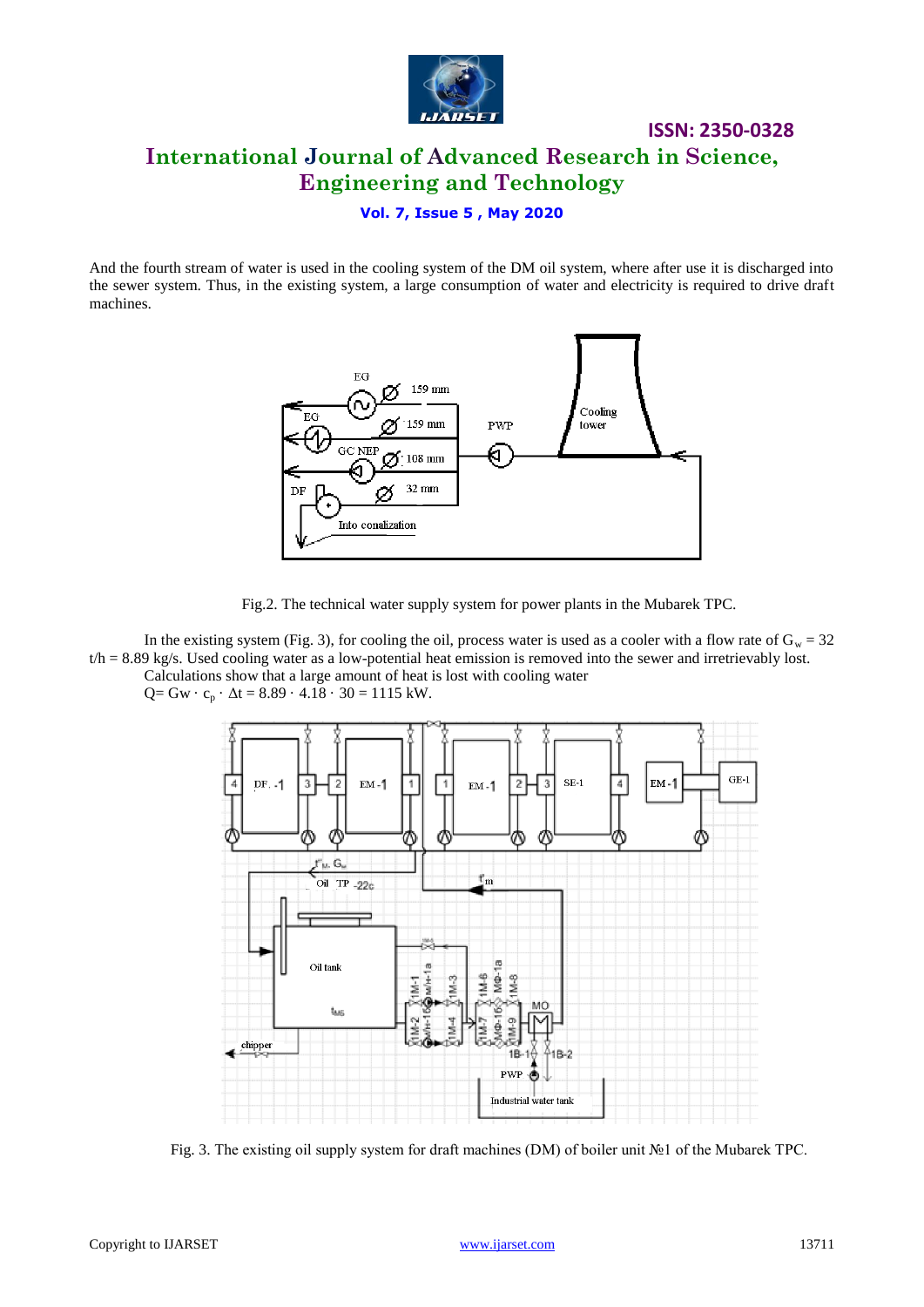

# **ISSN: 2350-0328 International Journal of Advanced Research in Science, Engineering and Technology**

## **Vol. 7, Issue 5 , May 2020**

And the fourth stream of water is used in the cooling system of the DM oil system, where after use it is discharged into the sewer system. Thus, in the existing system, a large consumption of water and electricity is required to drive draft machines.





In the existing system (Fig. 3), for cooling the oil, process water is used as a cooler with a flow rate of  $G_w = 32$  $t/h = 8.89$  kg/s. Used cooling water as a low-potential heat emission is removed into the sewer and irretrievably lost. Calculations show that a large amount of heat is lost with cooling water

 $Q = Gw \cdot c_p \cdot \Delta t = 8.89 \cdot 4.18 \cdot 30 = 1115$  kW.



Fig. 3. The existing oil supply system for draft machines (DM) of boiler unit №1 of the Mubarek TPC.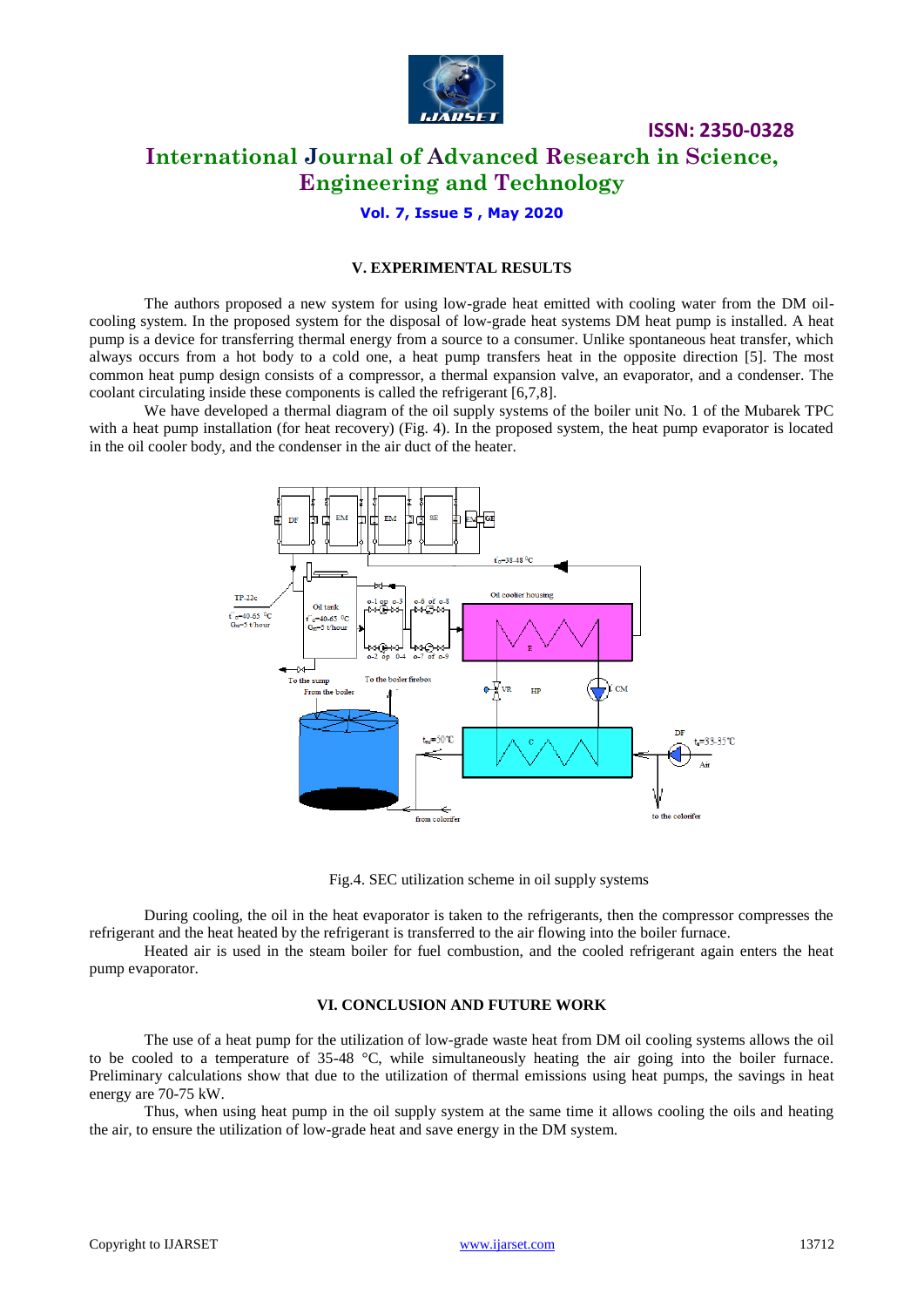

# **International Journal of Advanced Research in Science, Engineering and Technology**

# **Vol. 7, Issue 5 , May 2020**

## **V. EXPERIMENTAL RESULTS**

The authors proposed a new system for using low-grade heat emitted with cooling water from the DM oilcooling system. In the proposed system for the disposal of low-grade heat systems DM heat pump is installed. A heat pump is a device for transferring thermal energy from a source to a consumer. Unlike spontaneous heat transfer, which always occurs from a hot body to a cold one, a heat pump transfers heat in the opposite direction [5]. The most common heat pump design consists of a compressor, a thermal expansion valve, an evaporator, and a condenser. The coolant circulating inside these components is called the refrigerant [6,7,8].

We have developed a thermal diagram of the oil supply systems of the boiler unit No. 1 of the Mubarek TPC with a heat pump installation (for heat recovery) (Fig. 4). In the proposed system, the heat pump evaporator is located in the oil cooler body, and the condenser in the air duct of the heater.



Fig.4. SEC utilization scheme in oil supply systems

During cooling, the oil in the heat evaporator is taken to the refrigerants, then the compressor compresses the refrigerant and the heat heated by the refrigerant is transferred to the air flowing into the boiler furnace.

Heated air is used in the steam boiler for fuel combustion, and the cooled refrigerant again enters the heat pump evaporator.

#### **VI. CONCLUSION AND FUTURE WORK**

The use of a heat pump for the utilization of low-grade waste heat from DM oil cooling systems allows the oil to be cooled to a temperature of 35-48 °C, while simultaneously heating the air going into the boiler furnace. Preliminary calculations show that due to the utilization of thermal emissions using heat pumps, the savings in heat energy are 70-75 kW.

Thus, when using heat pump in the oil supply system at the same time it allows cooling the oils and heating the air, to ensure the utilization of low-grade heat and save energy in the DM system.